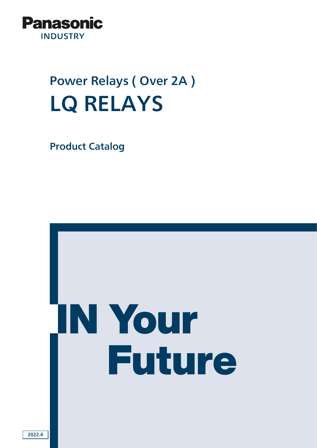

# Power Relays ( Over 2A ) LQ RELAYS

Product Catalog

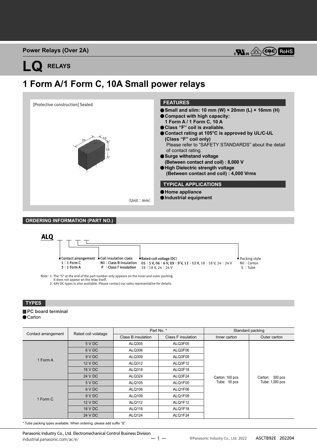

## **LQ RELAYS**

### **1 Form A/1 Form C, 10A Small power relays**



#### **ORDERING INFORMATION (PART NO.)**



Note :1. The "S" at the end of the part number only appears on the inner and outer packing. It does not appear on the relay itself.

2. 48V DC types is also available. Please contact our sales representative for details.

#### **TYPES**

### **PC** board terminal

● Carton

| Rated coil volatage<br>Contact arrangement |         |                    | Part No. *         | Standard packing |                 |
|--------------------------------------------|---------|--------------------|--------------------|------------------|-----------------|
|                                            |         | Class B insulation | Class F insulation | Inner carton     | Outer carton    |
|                                            | 5 V DC  | ALQ305             | ALQ3F05            |                  |                 |
|                                            | 6 V DC  | ALQ306             | ALQ3F06            |                  |                 |
| 1 Form A                                   | 9 V DC  | ALQ309             | ALQ3F09            |                  |                 |
| 1 Form C                                   | 12 V DC | ALQ312             | ALQ3F12            |                  |                 |
|                                            | 18 V DC | ALQ318             | ALQ3F18            | Carton: 100 pcs  | Carton: 500 pcs |
|                                            | 24 V DC | ALQ324             | ALQ3F24            |                  |                 |
|                                            | 5 V DC  | ALQ105             | ALQ1F05            | Tube: 50 pcs     | Tube: 1,000 pcs |
|                                            | 6 V DC  | ALQ106             | ALQ1F06            |                  |                 |
|                                            | 9 V DC  | <b>ALQ109</b>      | ALQ1F09            |                  |                 |
|                                            | 12 V DC | <b>ALQ112</b>      | ALQ1F12            |                  |                 |
|                                            | 18 V DC | <b>ALQ118</b>      | ALQ1F18            |                  |                 |
|                                            | 24 V DC | <b>ALQ124</b>      | ALQ1F24            |                  |                 |

\* Tube packing types available. When ordering, please add suffix "S".

Panasonic Industry Co., Ltd. Electromechanical Control Business Division industrial.panasonic.com/ac/e/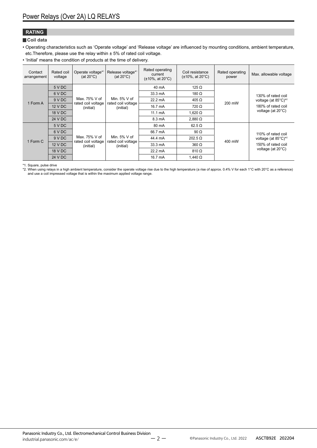#### **RATING**

#### **Coil data**

• Operating characteristics such as 'Operate voltage' and 'Release voltage' are influenced by mounting conditions, ambient temperature, etc.Therefore, please use the relay within ± 5% of rated coil voltage.

• 'Initial' means the condition of products at the time of delivery.

| Contact<br>arrangement | Rated coil<br>voltage | Operate voltage*1<br>(at $20^{\circ}$ C) | Release voltage*1<br>(at $20^{\circ}$ C)           | Rated operating<br>current<br>$(\pm 10\% , \text{ at } 20^{\circ} \text{C})$ | Coil resistance<br>$(\pm 10\%, \text{ at } 20^{\circ}\text{C})$ | Rated operating<br>power                  | Max. allowable voltage                                                                         |
|------------------------|-----------------------|------------------------------------------|----------------------------------------------------|------------------------------------------------------------------------------|-----------------------------------------------------------------|-------------------------------------------|------------------------------------------------------------------------------------------------|
|                        | 5 V DC                |                                          |                                                    | $40 \text{ mA}$                                                              | 125 $\Omega$                                                    |                                           |                                                                                                |
|                        | 6 V DC                |                                          |                                                    | 33.3 mA                                                                      | 180 $\Omega$                                                    |                                           | 130% of rated coil                                                                             |
| 1 Form A               | 9VDC                  | Max. 75% V of                            | Min. $5\%$ V of                                    | $22.2 \text{ mA}$                                                            | $405 \Omega$                                                    | 200 mW                                    | voltage (at $85^{\circ}$ C) <sup>*2</sup><br>180% of rated coil<br>voltage (at $20^{\circ}$ C) |
|                        | 12 V DC               | rated coil voltage                       | rated coil voltage<br>(initial)<br>(initial)       | 16.7 mA                                                                      | $720 \Omega$                                                    |                                           |                                                                                                |
|                        | 18 V DC               |                                          |                                                    | $11.1 \text{ mA}$                                                            | 1,620 $\Omega$                                                  |                                           |                                                                                                |
|                        | 24 V DC               |                                          |                                                    | 8.3 mA                                                                       | $2.880 \Omega$                                                  |                                           |                                                                                                |
|                        | 5 V DC                |                                          |                                                    | 80 mA                                                                        | $62.5 \Omega$                                                   |                                           |                                                                                                |
|                        | 6 V DC                |                                          |                                                    | 66.7 mA                                                                      | 90 $\Omega$                                                     |                                           | 110% of rated coil                                                                             |
| 1 Form C               | 9VDC                  | Max. 75% V of                            | Min. $5\%$ V of<br>rated coil voltage<br>(initial) | 44.4 mA<br>$202.5 \Omega$                                                    |                                                                 | voltage (at $85^{\circ}$ C) <sup>*2</sup> |                                                                                                |
|                        | 12 V DC               | rated coil voltage<br>(initial)          |                                                    | 33.3 mA                                                                      | $360 \Omega$                                                    | 400 mW                                    | 150% of rated coil<br>voltage (at 20°C)                                                        |
|                        | 18 V DC               |                                          |                                                    | 22.2 mA                                                                      | $810 \Omega$                                                    |                                           |                                                                                                |
|                        | 24 V DC               |                                          |                                                    | 16.7 mA                                                                      | 1,440 $\Omega$                                                  |                                           |                                                                                                |

\*1. Square, pulse drive<br>\*2. When using relays in a high ambient temperature, consider the operate voltage rise due to the high temperature (a rise of approx. 0.4% V for each 1°C with 20°C as a reference)<br>and use a coil imp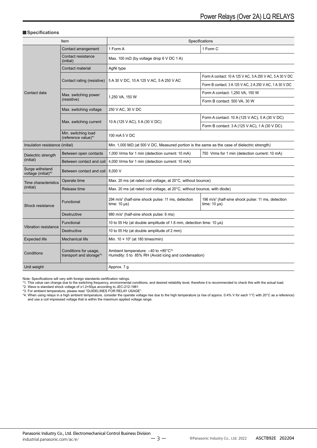#### **Specifications**

| Item                                                                                  |                                                  | Specifications                                                                                       |                                                                                     |  |  |
|---------------------------------------------------------------------------------------|--------------------------------------------------|------------------------------------------------------------------------------------------------------|-------------------------------------------------------------------------------------|--|--|
|                                                                                       | Contact arrangement                              | 1 Form A                                                                                             | 1 Form C                                                                            |  |  |
|                                                                                       | Contact resistance<br>(initial)                  | Max. 100 m $\Omega$ (by voltage drop 6 V DC 1 A)                                                     |                                                                                     |  |  |
|                                                                                       | Contact material                                 | AgNi type                                                                                            |                                                                                     |  |  |
|                                                                                       |                                                  |                                                                                                      | Form A contact: 10 A 125 V AC, 5 A 250 V AC, 5 A 30 V DC                            |  |  |
|                                                                                       | Contact rating (resistive)                       | 5 A 30 V DC, 10 A 125 V AC, 5 A 250 V AC                                                             | Form B contact: 3 A 125 V AC, 2 A 250 V AC, 1 A 30 V DC                             |  |  |
| Contact data                                                                          | Max. switching power                             |                                                                                                      | Form A contact: 1,250 VA, 150 W                                                     |  |  |
|                                                                                       | (resistive)                                      | 1,250 VA, 150 W                                                                                      | Form B contact: 500 VA, 30 W                                                        |  |  |
|                                                                                       | Max. switching voltage                           | 250 V AC, 30 V DC                                                                                    |                                                                                     |  |  |
|                                                                                       |                                                  |                                                                                                      | Form A contact: 10 A (125 V AC), 5 A (30 V DC)                                      |  |  |
|                                                                                       | Max. switching current                           | 10 A (125 V AC), 5 A (30 V DC)                                                                       | Form B contact: 3 A (125 V AC), 1 A (30 V DC)                                       |  |  |
|                                                                                       | Min. switching load<br>(reference value)*1       | 100 mA 5 V DC                                                                                        |                                                                                     |  |  |
| Insulation resistance (initial)                                                       |                                                  | Min. 1,000 M $\Omega$ (at 500 V DC, Measured portion is the same as the case of dielectric strength) |                                                                                     |  |  |
| Between open contacts<br>Dielectric strength<br>(initial)<br>Between contact and coil |                                                  | 1,000 Vrms for 1 min (detection current: 10 mA)                                                      | 750 Vrms for 1 min (detection current: 10 mA)                                       |  |  |
|                                                                                       |                                                  | 4,000 Vrms for 1 min (detection current: 10 mA)                                                      |                                                                                     |  |  |
| Surge withstand<br>voltage (initial)*2                                                | Between contact and coil                         | 8,000 V                                                                                              |                                                                                     |  |  |
| Operate time<br>Time characteristics                                                  |                                                  | Max. 20 ms (at rated coil voltage, at 20°C, without bounce)                                          |                                                                                     |  |  |
| (initial)                                                                             | Release time                                     | Max. 20 ms (at rated coil voltage, at 20°C, without bounce, with diode)                              |                                                                                     |  |  |
| Shock resistance                                                                      | Functional                                       | 294 m/s <sup>2</sup> (half-sine shock pulse: 11 ms, detection<br>time: $10 \mu s$ )                  | 196 m/s <sup>2</sup> (half-sine shock pulse: 11 ms, detection<br>time: $10 \mu s$ ) |  |  |
|                                                                                       | <b>Destructive</b>                               | 980 m/s <sup>2</sup> (half-sine shock pulse: 6 ms)                                                   |                                                                                     |  |  |
|                                                                                       | Functional                                       | 10 to 55 Hz (at double amplitude of 1.6 mm, detection time: 10 µs)                                   |                                                                                     |  |  |
| Vibration resistance<br><b>Destructive</b>                                            |                                                  | 10 to 55 Hz (at double amplitude of 2 mm)                                                            |                                                                                     |  |  |
| <b>Expected life</b>                                                                  | <b>Mechanical life</b>                           | Min. $10 \times 10^6$ (at 180 times/min)                                                             |                                                                                     |  |  |
| Conditions                                                                            | Conditions for usage,<br>transport and storage*3 | Ambient temperature: -40 to +85°C*4<br>Humidity: 5 to 85% RH (Avoid icing and condensation)          |                                                                                     |  |  |
| Unit weight                                                                           |                                                  | Approx. 7 g                                                                                          |                                                                                     |  |  |

Note: Specifications will vary with foreign standards certification ratings.<br>\*1. This value can change due to the switching frequency, environmental conditions, and desired reliability level, therefore it is recommended to

\*3. For ambient temperature, please read "GUIDELINES FOR RELAY USAGE".<br>\*4. When using relays in a high ambient temperature, consider the operate voltage rise due to the high temperature (a rise of approx. 0.4% V for each 1 and use a coil impressed voltage that is within the maximum applied voltage range.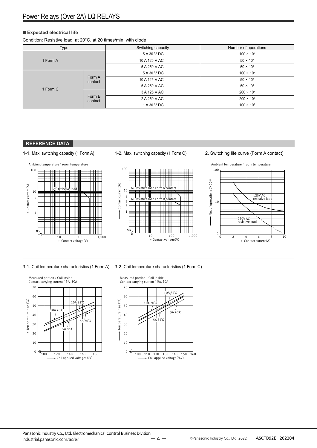#### **Expected electrical life**

Condition: Resistive load, at 20°C, at 20 times/min, with diode

| Type     |                   | Switching capacity           | Number of operations |
|----------|-------------------|------------------------------|----------------------|
| 1 Form A |                   | 5 A 30 V DC                  | $100 \times 10^{3}$  |
|          |                   | 10 A 125 V AC                | $50 \times 10^{3}$   |
|          |                   | 5 A 250 V AC                 | $50 \times 10^{3}$   |
|          |                   | 5 A 30 V DC<br>10 A 125 V AC | $100 \times 10^{3}$  |
|          | Form A<br>contact |                              | $50 \times 10^{3}$   |
| 1 Form C |                   | 5 A 250 V AC                 | $50 \times 10^{3}$   |
|          |                   | 3 A 125 V AC                 | $200 \times 10^{3}$  |
|          | Form B<br>contact | 2 A 250 V AC                 | $200 \times 10^{3}$  |
|          |                   | 1 A 30 V DC                  | $100 \times 10^{3}$  |

#### **REFERENCE DATA**





1

2 3 5

10

Contact current(A)

Contact current(A)

100







3-1. Coil temperature characteristics (1 Form A) 3-2. Coil temperature characteristics (1 Form C)

Ш

ШI

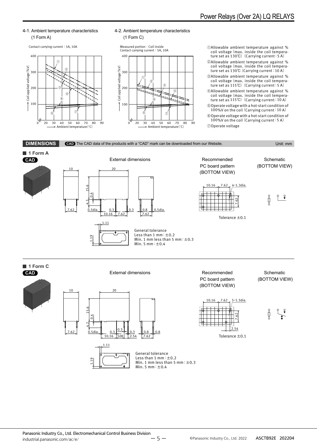

Contact carrying current: 5A, 10A



#### 4-2. Ambient temperature characteristics (1 Form C)



①Allowable ambient temperature against % coil voltage(max. inside the coil temperature set as 130℃) (Carrying current: 5 A)

- ②Allowable ambient temperature against % coil voltage(max. inside the coil temperature set as 130℃(Carrying current:10 A)
- ③Allowable ambient temperature against % coil voltage(max. inside the coil temperature set as 115℃) (Carrying current: 5 A)
- ④Allowable ambient temperature against % coil voltage(max. inside the coil temperature set as 115℃) (Carrying current:10 A)

⑤Operate voltage with a hot-start condition of 100%V on the coil (Carrying current: 10 A)

⑥Operate voltage with a hot-start condition of 100%V on the coil (Carrying current: 5 A) ⑦Operate voltage

**DIMENSIONS CAD** The CAD data of the products with a "CAD" mark can be downloaded from our Website. Unit: mm



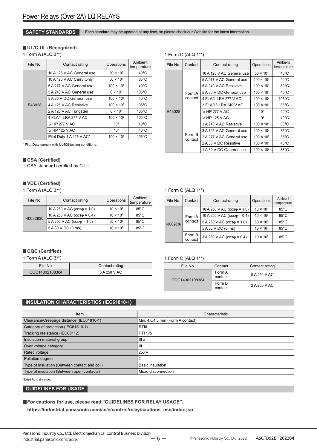**SAFETY STANDARDS** Each standard may be updated at any time, so please check our Website for the latest information.

#### **UL/C-UL (Recognized)**

1 Form A (ALQ 3\*\*)

| File No. | Contact rating            | Operations          | Ambient<br>temperature |
|----------|---------------------------|---------------------|------------------------|
|          | 10 A 125 V AC General use | $50 \times 10^{3}$  | $40^{\circ}$ C         |
|          | 10 A 125 V AC Carry Only  | $50 \times 10^{3}$  | $85^{\circ}$ C         |
|          | 5 A 277 V AC General use  | $100 \times 10^{3}$ | $40^{\circ}$ C         |
|          | 5 A 240 V AC General use  | $6 \times 10^{3}$   | $105^{\circ}$ C        |
| E43028   | 5 A 30 V DC General use   | $100 \times 10^{3}$ | $40^{\circ}$ C         |
|          | 4 A 125 V AC Resistive    | $100 \times 10^{3}$ | $105^{\circ}$ C        |
|          | 2 A 120 V AC Tungsten     | $6 \times 10^{3}$   | $105^{\circ}$ C        |
|          | 4 FLA/4 LRA 277 V AC      | $100 \times 10^{3}$ | $105^{\circ}$ C        |
|          | 1/6 HP 277 V AC           | 10 <sup>3</sup>     | $40^{\circ}$ C         |
|          | 1/6 HP 125 V AC           | 10 <sup>3</sup>     | $40^{\circ}$ C         |
|          | Pilot Duty 1 A 125 V AC*  | $100 \times 10^{3}$ | $105^{\circ}$ C        |

\* Pilot Duty comply with UL508 testing conditions.

#### **CSA (Certified)**

CSA standard certified by C-UL

#### **VDE (Certified)**

1 Form A (ALQ 3\*\*)

| File No. | Contact rating                       | Operations         | Ambient<br>temperature |
|----------|--------------------------------------|--------------------|------------------------|
|          | 10 A 250 V AC ( $cos\varphi = 1.0$ ) | $10 \times 10^{3}$ | $85^{\circ}$ C         |
| 40032836 | 10 A 250 V AC ( $cos\varphi = 0.4$ ) | $10 \times 10^{3}$ | $85^{\circ}$ C         |
|          | $5 A 250 V AC (cos \varphi = 1.0)$   | $50 \times 10^{3}$ | $85^{\circ}$ C         |
|          | 5 A 30 V DC (0 ms)                   | $10 \times 10^{3}$ | $85^{\circ}$ C         |

#### 1 Form C (ALQ 1\*\*)

| File No. | Contact           | Contact rating            | Operations          | Ambient<br>temperature |
|----------|-------------------|---------------------------|---------------------|------------------------|
|          |                   | 10 A 125 V AC General use | $50 \times 10^{3}$  | $40^{\circ}$ C         |
|          |                   | 5 A 277 V AC General use  | $100 \times 10^{3}$ | $40^{\circ}$ C         |
|          |                   | 5 A 240 V AC Resistive    | $100 \times 10^{3}$ | $80^{\circ}$ C         |
|          | Form A            | 5 A 30 V DC General use   | $100 \times 10^{3}$ | $40^{\circ}$ C         |
| E43028   | contact           | 4 FLA/4 LRA 277 V AC      | $100 \times 10^{3}$ | $105^{\circ}$ C        |
|          |                   | 3 FLA/18 LRA 240 V AC     | $100 \times 10^{3}$ | $85^{\circ}$ C         |
|          |                   | 1/6 HP 277 V AC           | 10 <sup>3</sup>     | $40^{\circ}$ C         |
|          |                   | 1/6 HP 125 V AC           | 10 <sup>3</sup>     | $40^{\circ}$ C         |
|          |                   | 3 A 240 V AC Resistive    | $100 \times 10^{3}$ | $80^{\circ}$ C         |
|          | Form B<br>contact | 3 A 125 V AC General use  | $100 \times 10^{3}$ | $85^{\circ}$ C         |
|          |                   | 2 A 277 V AC General use  | $100 \times 10^{3}$ | $85^{\circ}$ C         |
|          |                   | 2 A 30 V DC Resistive     | $100 \times 10^{3}$ | $40^{\circ}$ C         |
|          |                   | 1 A 30 V DC General use   | $100 \times 10^{3}$ | $85^{\circ}$ C         |

#### 1 Form C (ALQ 1\*\*)

| File No.                      | Contact            | Contact rating                       | Operations         | Ambient<br>temperature |
|-------------------------------|--------------------|--------------------------------------|--------------------|------------------------|
| Form A<br>contact<br>40032836 |                    | 10 A 250 V AC ( $cos\phi = 1.0$ )    | $10 \times 10^{3}$ | $85^{\circ}$ C         |
|                               |                    | 10 A 250 V AC ( $cos\varphi = 0.4$ ) | $10 \times 10^{3}$ | $85^{\circ}$ C         |
|                               |                    | $5 A 250 V AC (cos\phi = 1.0)$       | $50 \times 10^{3}$ | $85^{\circ}$ C         |
|                               | 5 A 30 V DC (0 ms) | $10 \times 10^{3}$                   | $85^{\circ}$ C     |                        |
|                               | Form B<br>contact  | $3 A 250 V AC (cos \varphi = 0.4)$   | $10 \times 10^{3}$ | $85^{\circ}$ C         |

#### **CQC (Certified)**

1 Form A (ALQ 3\*\*)

| File No.       | Contact rating |
|----------------|----------------|
| CQC14002108384 | 5 A 250 V AC   |

#### 1 Form C (ALQ 1\*\*)

| File No.       | Contact           | Contact rating |
|----------------|-------------------|----------------|
| CQC14002108384 | Form A<br>contact | 5 A 250 V AC   |
|                | Form B<br>contact | 2 A 250 V AC   |

#### **INSULATION CHARACTERISTICS (IEC61810-1)**

| Item                                          | Characteristic                   |
|-----------------------------------------------|----------------------------------|
| Clearance/Creepage distance (IEC61810-1)      | Min. 4.0/4.0 mm (Form A contact) |
| Category of protection (IEC61810-1)           | <b>RTIII</b>                     |
| Tracking resistance (IEC60112)                | <b>PTI 175</b>                   |
| Insulation material group                     | III a                            |
| Over voltage category                         | $\mathbf{III}$                   |
| Rated voltage                                 | 250 V                            |
| Pollution degree                              |                                  |
| Type of insulation (Between contact and coil) | <b>Basic insulation</b>          |
| Type of insulation (Between open contacts)    | Micro disconnection              |

Note) Actual value.

#### **GUIDELINES FOR USAGE**

**For cautions for use, please read "GUIDELINES FOR RELAY USAGE".**

**https://industrial.panasonic.com/ac/e/control/relay/cautions\_use/index.jsp**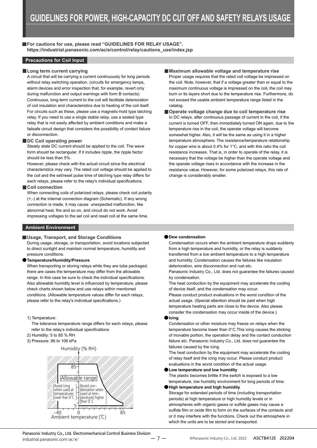**For cautions for use, please read "GUIDELINES FOR RELAY USAGE". https://industrial.panasonic.com/ac/e/control/relay/cautions\_use/index.jsp**

#### **Precautions for Coil Input**

#### **Long term current carrying**

A circuit that will be carrying a current continuously for long periods without relay switching operation. (circuits for emergency lamps, alarm devices and error inspection that, for example, revert only during malfunction and output warnings with form B contacts) Continuous, long-term current to the coil will facilitate deterioration of coil insulation and characteristics due to heating of the coil itself. For circuits such as these, please use a magnetic-hold type latching relay. If you need to use a single stable relay, use a sealed type relay that is not easily affected by ambient conditions and make a failsafe circuit design that considers the possibility of contact failure or disconnection.

#### **DC Coil operating power**

Steady state DC current should be applied to the coil. The wave form should be rectangular. If it includes ripple, the ripple factor should be less than 5%.

However, please check with the actual circuit since the electrical characteristics may vary. The rated coil voltage should be applied to the coil and the set/reset pulse time of latching type relay differs for each relays, please refer to the relay's individual specifications.

#### **Coil connection**

When connecting coils of polarized relays, please check coil polarity (+,-) at the internal connection diagram (Schematic). If any wrong connection is made, it may cause unexpected malfunction, like abnormal heat, fire and so on, and circuit do not work. Avoid impressing voltages to the set coil and reset coil at the same time.

#### **Ambient Environment**

#### **Usage, Transport, and Storage Conditions**

During usage, storage, or transportation, avoid locations subjected to direct sunlight and maintain normal temperature, humidity and pressure conditions.

#### **Temperature/Humidity/Pressure**

When transporting or storing relays while they are tube packaged. there are cases the temperature may differ from the allowable range. In this case be sure to check the individual specifications. Also allowable humidity level is influenced by temperature, please check charts shown below and use relays within mentioned conditions. (Allowable temperature values differ for each relays, please refer to the relay's individual specifications.)

#### 1) Temperature:

The tolerance temperature range differs for each relays, please refer to the relay's individual specifications

- 2) Humidity: 5 to 85 % RH
- 3) Pressure: 86 to 106 kPa





#### **Maximum allowable voltage and temperature rise** Proper usage requires that the rated coil voltage be impressed on the coil. Note, however, that if a voltage greater than or equal to the maximum continuous voltage is impressed on the coil, the coil may burn or its layers short due to the temperature rise. Furthermore, do not exceed the usable ambient temperature range listed in the catalog.

**Operate voltage change due to coil temperature rise** In DC relays, after continuous passage of current in the coil, if the current is turned OFF, then immediately turned ON again, due to the temperature rise in the coil, the operate voltage will become somewhat higher. Also, it will be the same as using it in a higher temperature atmosphere. The resistance/temperature relationship for copper wire is about 0.4% for 1°C, and with this ratio the coil resistance increases. That is, in order to operate of the relay, it is necessary that the voltage be higher than the operate voltage and the operate voltage rises in accordance with the increase in the resistance value. However, for some polarized relays, this rate of change is considerably smaller.

#### **Dew condensation**

Condensation occurs when the ambient temperature drops suddenly from a high temperature and humidity, or the relay is suddenly transferred from a low ambient temperature to a high temperature and humidity. Condensation causes the failures like insulation deterioration, wire disconnection and rust etc.

Panasonic Industry Co., Ltd. does not guarantee the failures caused by condensation.

The heat conduction by the equipment may accelerate the cooling of device itself, and the condensation may occur.

Please conduct product evaluations in the worst condition of the actual usage. (Special attention should be paid when high temperature heating parts are close to the device. Also please consider the condensation may occur inside of the device.)

#### **Icing**

Condensation or other moisture may freeze on relays when the temperature become lower than 0°C.This icing causes the sticking of movable portion, the operation delay and the contact conduction failure etc. Panasonic Industry Co., Ltd. does not guarantee the failures caused by the icing.

The heat conduction by the equipment may accelerate the cooling of relay itself and the icing may occur. Please conduct product evaluations in the worst condition of the actual usage.

**Low temperature and low humidity**

The plastic becomes brittle if the switch is exposed to a low temperature, low humidity environment for long periods of time.

**High temperature and high humidity**

Storage for extended periods of time (including transportation periods) at high temperature or high humidity levels or in atmospheres with organic gases or sulfide gases may cause a sulfide film or oxide film to form on the surfaces of the contacts and/ or it may interfere with the functions. Check out the atmosphere in which the units are to be stored and transported.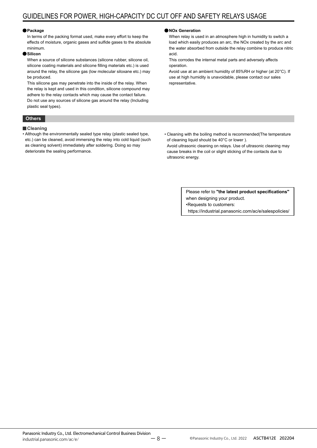#### **Package**

In terms of the packing format used, make every effort to keep the effects of moisture, organic gases and sulfide gases to the absolute minimum.

#### **Silicon**

When a source of silicone substances (silicone rubber, silicone oil, silicone coating materials and silicone filling materials etc.) is used around the relay, the silicone gas (low molecular siloxane etc.) may be produced.

This silicone gas may penetrate into the inside of the relay. When the relay is kept and used in this condition, silicone compound may adhere to the relay contacts which may cause the contact failure. Do not use any sources of silicone gas around the relay (Including plastic seal types).

#### **Others**

#### **Cleaning**

• Although the environmentally sealed type relay (plastic sealed type, etc.) can be cleaned, avoid immersing the relay into cold liquid (such as cleaning solvent) immediately after soldering. Doing so may deteriorate the sealing performance.

#### **NOx Generation**

When relay is used in an atmosphere high in humidity to switch a load which easily produces an arc, the NOx created by the arc and the water absorbed from outside the relay combine to produce nitric acid.

This corrodes the internal metal parts and adversely affects operation.

Avoid use at an ambient humidity of 85%RH or higher (at 20°C). If use at high humidity is unavoidable, please contact our sales representative.

• Cleaning with the boiling method is recommended(The temperature of cleaning liquid should be 40°C or lower ).

Avoid ultrasonic cleaning on relays. Use of ultrasonic cleaning may cause breaks in the coil or slight sticking of the contacts due to ultrasonic energy.

> Please refer to **"the latest product specifications"** when designing your product. •Requests to customers: https://industrial.panasonic.com/ac/e/salespolicies/